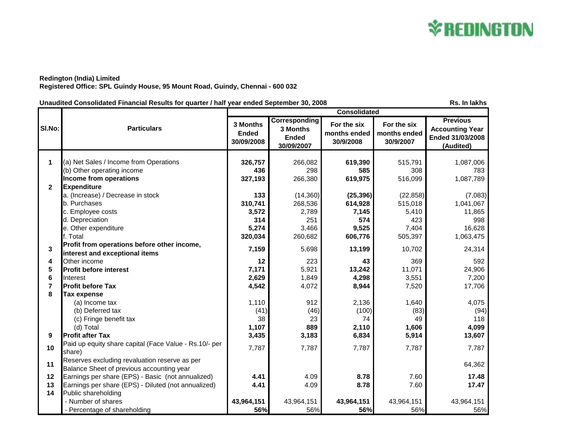

## **Redington (India) Limited Registered Office: SPL Guindy House, 95 Mount Road, Guindy, Chennai - 600 032**

Unaudited Consolidated Financial Results for quarter / half year ended September 30, 2008 **RS. In lakhs** Rs. In lakhs

|                |                                                                                            | <b>Consolidated</b>                    |                                                         |                                          |                                          |                                                                            |
|----------------|--------------------------------------------------------------------------------------------|----------------------------------------|---------------------------------------------------------|------------------------------------------|------------------------------------------|----------------------------------------------------------------------------|
| SI.No:         | <b>Particulars</b>                                                                         | 3 Months<br><b>Ended</b><br>30/09/2008 | Corresponding<br>3 Months<br><b>Ended</b><br>30/09/2007 | For the six<br>months ended<br>30/9/2008 | For the six<br>months ended<br>30/9/2007 | <b>Previous</b><br><b>Accounting Year</b><br>Ended 31/03/2008<br>(Audited) |
|                |                                                                                            |                                        |                                                         |                                          |                                          |                                                                            |
| 1              | (a) Net Sales / Income from Operations                                                     | 326,757                                | 266,082                                                 | 619,390                                  | 515,791                                  | 1,087,006                                                                  |
|                | (b) Other operating income                                                                 | 436                                    | 298                                                     | 585                                      | 308                                      | 783                                                                        |
|                | Income from operations                                                                     | 327,193                                | 266,380                                                 | 619,975                                  | 516,099                                  | 1,087,789                                                                  |
| $\overline{2}$ | <b>Expenditure</b>                                                                         |                                        |                                                         |                                          |                                          |                                                                            |
|                | a. (Increase) / Decrease in stock                                                          | 133                                    | (14,360)                                                | (25, 396)                                | (22, 858)                                | (7,083)                                                                    |
|                | b. Purchases                                                                               | 310,741                                | 268,536                                                 | 614,928                                  | 515,018                                  | 1,041,067                                                                  |
|                | c. Employee costs                                                                          | 3,572                                  | 2,789                                                   | 7,145                                    | 5,410                                    | 11,865                                                                     |
|                | d. Depreciation                                                                            | 314                                    | 251                                                     | 574                                      | 423                                      | 998                                                                        |
|                | e. Other expenditure                                                                       | 5,274                                  | 3,466                                                   | 9,525                                    | 7,404                                    | 16,628                                                                     |
|                | f. Total                                                                                   | 320,034                                | 260,682                                                 | 606,776                                  | 505,397                                  | 1,063,475                                                                  |
| 3              | Profit from operations before other income,<br>interest and exceptional items              | 7,159                                  | 5,698                                                   | 13,199                                   | 10,702                                   | 24,314                                                                     |
| 4              | Other income                                                                               | 12                                     | 223                                                     | 43                                       | 369                                      | 592                                                                        |
| 5              | <b>Profit before interest</b>                                                              | 7,171                                  | 5,921                                                   | 13,242                                   | 11,071                                   | 24,906                                                                     |
| 6              | Interest                                                                                   | 2,629                                  | 1,849                                                   | 4,298                                    | 3,551                                    | 7,200                                                                      |
| $\overline{7}$ | <b>Profit before Tax</b>                                                                   | 4,542                                  | 4,072                                                   | 8,944                                    | 7,520                                    | 17,706                                                                     |
| 8              | <b>Tax expense</b>                                                                         |                                        |                                                         |                                          |                                          |                                                                            |
|                | (a) Income tax                                                                             | 1,110                                  | 912                                                     | 2,136                                    | 1,640                                    | 4,075                                                                      |
|                | (b) Deferred tax                                                                           | (41)                                   | (46)                                                    | (100)                                    | (83)                                     | (94)                                                                       |
|                | (c) Fringe benefit tax                                                                     | 38                                     | 23                                                      | 74                                       | 49                                       | 118                                                                        |
|                | (d) Total                                                                                  | 1,107                                  | 889                                                     | 2,110                                    | 1,606                                    | 4,099                                                                      |
| 9              | <b>Profit after Tax</b>                                                                    | 3,435                                  | 3,183                                                   | 6,834                                    | 5,914                                    | 13,607                                                                     |
| 10             | Paid up equity share capital (Face Value - Rs.10/- per<br>share)                           | 7,787                                  | 7,787                                                   | 7,787                                    | 7,787                                    | 7,787                                                                      |
| 11             | Reserves excluding revaluation reserve as per<br>Balance Sheet of previous accounting year |                                        |                                                         |                                          |                                          | 64,362                                                                     |
| 12             | Earnings per share (EPS) - Basic (not annualized)                                          | 4.41                                   | 4.09                                                    | 8.78                                     | 7.60                                     | 17.48                                                                      |
| 13             | Earnings per share (EPS) - Diluted (not annualized)                                        | 4.41                                   | 4.09                                                    | 8.78                                     | 7.60                                     | 17.47                                                                      |
| 14             | Public shareholding                                                                        |                                        |                                                         |                                          |                                          |                                                                            |
|                | - Number of shares                                                                         | 43,964,151                             | 43,964,151                                              | 43,964,151                               | 43,964,151                               | 43,964,151                                                                 |
|                | - Percentage of shareholding                                                               | 56%                                    | 56%                                                     | 56%                                      | 56%                                      | 56%                                                                        |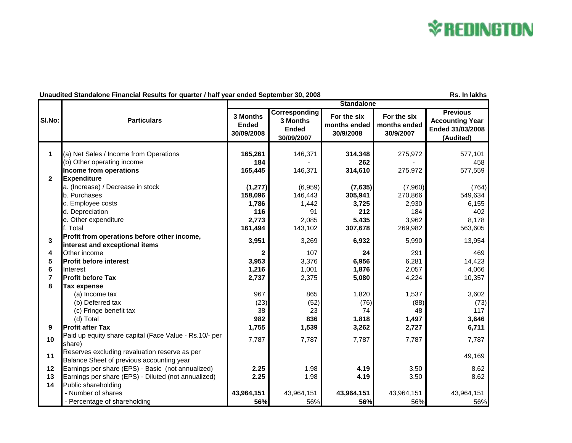## **\*REDINGTON**

## **Unaudited Standalone Financial Results for quarter / half year ended September 30, 2008 Rs. In lakhs** Rs. In lakhs

|                |                                                                                            | <b>Standalone</b>                      |                                                                |                                          |                                          |                                                                            |  |
|----------------|--------------------------------------------------------------------------------------------|----------------------------------------|----------------------------------------------------------------|------------------------------------------|------------------------------------------|----------------------------------------------------------------------------|--|
| SI.No:         | <b>Particulars</b>                                                                         | 3 Months<br><b>Ended</b><br>30/09/2008 | <b>Corresponding</b><br>3 Months<br><b>Ended</b><br>30/09/2007 | For the six<br>months ended<br>30/9/2008 | For the six<br>months ended<br>30/9/2007 | <b>Previous</b><br><b>Accounting Year</b><br>Ended 31/03/2008<br>(Audited) |  |
|                |                                                                                            |                                        |                                                                |                                          |                                          |                                                                            |  |
| $\mathbf 1$    | (a) Net Sales / Income from Operations                                                     | 165,261                                | 146,371                                                        | 314,348                                  | 275,972                                  | 577,101                                                                    |  |
|                | (b) Other operating income                                                                 | 184                                    |                                                                | 262                                      |                                          | 458                                                                        |  |
| $\mathbf{2}$   | Income from operations<br><b>Expenditure</b>                                               | 165,445                                | 146,371                                                        | 314,610                                  | 275,972                                  | 577,559                                                                    |  |
|                | a. (Increase) / Decrease in stock                                                          |                                        | (6,959)                                                        |                                          |                                          | (764)                                                                      |  |
|                | b. Purchases                                                                               | (1, 277)<br>158,096                    | 146,443                                                        | (7,635)<br>305,941                       | (7,960)<br>270,866                       | 549,634                                                                    |  |
|                | c. Employee costs                                                                          | 1,786                                  | 1,442                                                          | 3,725                                    | 2,930                                    | 6,155                                                                      |  |
|                | d. Depreciation                                                                            | 116                                    | 91                                                             | 212                                      | 184                                      | 402                                                                        |  |
|                | e. Other expenditure                                                                       | 2,773                                  | 2,085                                                          | 5,435                                    | 3,962                                    | 8,178                                                                      |  |
|                | f. Total                                                                                   | 161,494                                | 143,102                                                        | 307,678                                  | 269,982                                  | 563,605                                                                    |  |
|                | Profit from operations before other income,                                                |                                        |                                                                |                                          |                                          |                                                                            |  |
| 3              | interest and exceptional items                                                             | 3,951                                  | 3,269                                                          | 6,932                                    | 5,990                                    | 13,954                                                                     |  |
| 4              | Other income                                                                               | $\mathbf{2}$                           | 107                                                            | 24                                       | 291                                      | 469                                                                        |  |
| 5              | <b>Profit before interest</b>                                                              | 3,953                                  | 3,376                                                          | 6,956                                    | 6,281                                    | 14,423                                                                     |  |
| 6              | Interest                                                                                   | 1,216                                  | 1,001                                                          | 1,876                                    | 2,057                                    | 4,066                                                                      |  |
| $\overline{7}$ | <b>Profit before Tax</b>                                                                   | 2,737                                  | 2,375                                                          | 5,080                                    | 4,224                                    | 10,357                                                                     |  |
| 8              | Tax expense                                                                                |                                        |                                                                |                                          |                                          |                                                                            |  |
|                | (a) Income tax                                                                             | 967                                    | 865                                                            | 1,820                                    | 1,537                                    | 3,602                                                                      |  |
|                | (b) Deferred tax                                                                           | (23)                                   | (52)                                                           | (76)                                     | (88)                                     | (73)                                                                       |  |
|                | (c) Fringe benefit tax                                                                     | 38                                     | 23                                                             | 74                                       | 48                                       | 117                                                                        |  |
|                | (d) Total                                                                                  | 982                                    | 836                                                            | 1,818                                    | 1,497                                    | 3,646                                                                      |  |
| 9              | <b>Profit after Tax</b>                                                                    | 1,755                                  | 1,539                                                          | 3,262                                    | 2,727                                    | 6,711                                                                      |  |
| 10             | Paid up equity share capital (Face Value - Rs.10/- per<br>share)                           | 7,787                                  | 7,787                                                          | 7,787                                    | 7,787                                    | 7,787                                                                      |  |
| 11             | Reserves excluding revaluation reserve as per<br>Balance Sheet of previous accounting year |                                        |                                                                |                                          |                                          | 49,169                                                                     |  |
| 12             | Earnings per share (EPS) - Basic (not annualized)                                          | 2.25                                   | 1.98                                                           | 4.19                                     | 3.50                                     | 8.62                                                                       |  |
| 13             | Earnings per share (EPS) - Diluted (not annualized)                                        | 2.25                                   | 1.98                                                           | 4.19                                     | 3.50                                     | 8.62                                                                       |  |
| 14             | Public shareholding                                                                        |                                        |                                                                |                                          |                                          |                                                                            |  |
|                | - Number of shares                                                                         | 43,964,151                             | 43,964,151                                                     | 43,964,151                               | 43,964,151                               | 43,964,151                                                                 |  |
|                | - Percentage of shareholding                                                               | 56%                                    | 56%                                                            | 56%                                      | 56%                                      | 56%                                                                        |  |